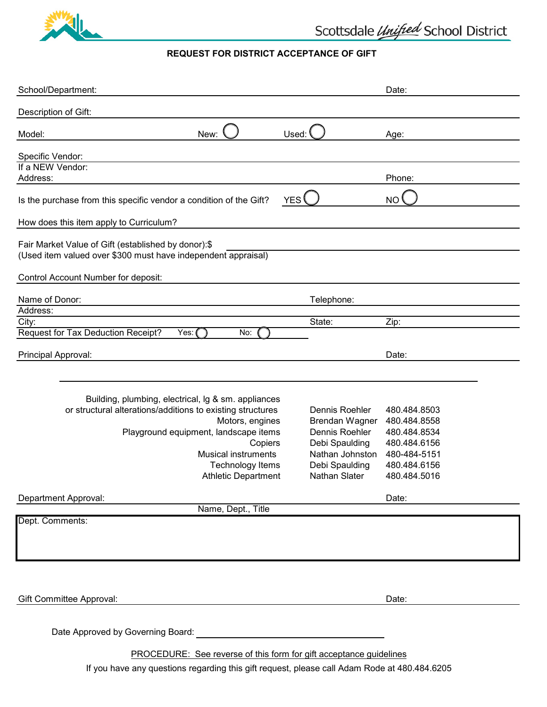

# **REQUEST FOR DISTRICT ACCEPTANCE OF GIFT**

| School/Department:                                                                                                                                                                       |                                                                      | Date:                                                        |
|------------------------------------------------------------------------------------------------------------------------------------------------------------------------------------------|----------------------------------------------------------------------|--------------------------------------------------------------|
| Description of Gift:                                                                                                                                                                     |                                                                      |                                                              |
| Model:<br>New:                                                                                                                                                                           | Used:                                                                | Age:                                                         |
| Specific Vendor:                                                                                                                                                                         |                                                                      |                                                              |
| If a NEW Vendor:<br>Address:                                                                                                                                                             |                                                                      | Phone:                                                       |
| Is the purchase from this specific vendor a condition of the Gift?                                                                                                                       | YES                                                                  | <b>NO</b>                                                    |
| How does this item apply to Curriculum?                                                                                                                                                  |                                                                      |                                                              |
| Fair Market Value of Gift (established by donor):\$<br>(Used item valued over \$300 must have independent appraisal)                                                                     |                                                                      |                                                              |
| Control Account Number for deposit:                                                                                                                                                      |                                                                      |                                                              |
| Name of Donor:                                                                                                                                                                           | Telephone:                                                           |                                                              |
| Address:                                                                                                                                                                                 | State:                                                               |                                                              |
| City:<br>Request for Tax Deduction Receipt?<br>Yes: (<br>No:                                                                                                                             |                                                                      | Zip:                                                         |
| Principal Approval:                                                                                                                                                                      |                                                                      | Date:                                                        |
| Building, plumbing, electrical, Ig & sm. appliances<br>or structural alterations/additions to existing structures<br>Motors, engines<br>Playground equipment, landscape items<br>Copiers | Dennis Roehler<br>Brendan Wagner<br>Dennis Roehler<br>Debi Spaulding | 480.484.8503<br>480.484.8558<br>480.484.8534<br>480.484.6156 |
| <b>Musical instruments</b>                                                                                                                                                               | Nathan Johnston                                                      | 480-484-5151                                                 |
| <b>Technology Items</b><br><b>Athletic Department</b>                                                                                                                                    | Debi Spaulding<br>Nathan Slater                                      | 480.484.6156<br>480.484.5016                                 |
| Department Approval:                                                                                                                                                                     |                                                                      | Date:                                                        |
| Name, Dept., Title                                                                                                                                                                       |                                                                      |                                                              |
| Dept. Comments:                                                                                                                                                                          |                                                                      |                                                              |
|                                                                                                                                                                                          |                                                                      | Date:                                                        |
| <b>Gift Committee Approval:</b>                                                                                                                                                          |                                                                      |                                                              |
| Date Approved by Governing Board: North State Approved by Governing Board:                                                                                                               |                                                                      |                                                              |
| PROCEDURE: See reverse of this form for gift acceptance guidelines                                                                                                                       |                                                                      |                                                              |

If you have any questions regarding this gift request, please call Adam Rode at 480.484.6205